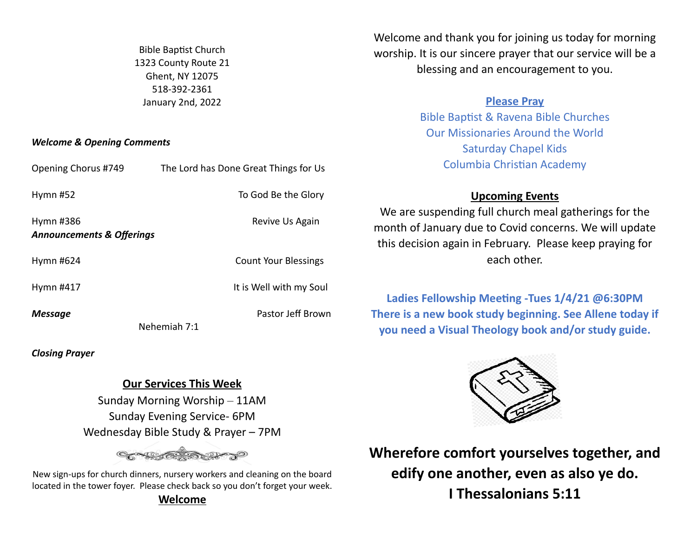Bible Baptist Church 1323 County Route 21 Ghent, NY 12075 518-392-2361 January 2nd, 2022

### *Welcome & Opening Comments*

Welcome and thank you for joining us today for morning worship. It is our sincere prayer that our service will be a blessing and an encouragement to you.

## **Please Pray**

Bible Baptist & Ravena Bible Churches Our Missionaries Around the World Saturday Chapel Kids Columbia Christian Academy

## **Upcoming Events**

We are suspending full church meal gatherings for the month of January due to Covid concerns. We will update this decision again in February. Please keep praying for each other.

Ladies Fellowship Meeting -Tues 1/4/21 @6:30PM **There is a new book study beginning. See Allene today if you need a Visual Theology book and/or study guide.**



**Wherefore comfort yourselves together, and edify one another, even as also ye do. I Thessalonians 5:11** 

| Opening Chorus #749                               | The Lord has Done Great Things for Us |
|---------------------------------------------------|---------------------------------------|
| Hymn #52                                          | To God Be the Glory                   |
| Hymn #386<br><b>Announcements &amp; Offerings</b> | Revive Us Again                       |
| Hymn #624                                         | <b>Count Your Blessings</b>           |
| Hymn #417                                         | It is Well with my Soul               |
| Message                                           | Pastor Jeff Brown<br>Nehemiah 7:1     |

*Closing Prayer*

# **Our Services This Week**

Sunday Morning Worship – 11AM Sunday Evening Service- 6PM Wednesday Bible Study & Prayer – 7PM

New sign-ups for church dinners, nursery workers and cleaning on the board located in the tower foyer. Please check back so you don't forget your week. **Welcome**